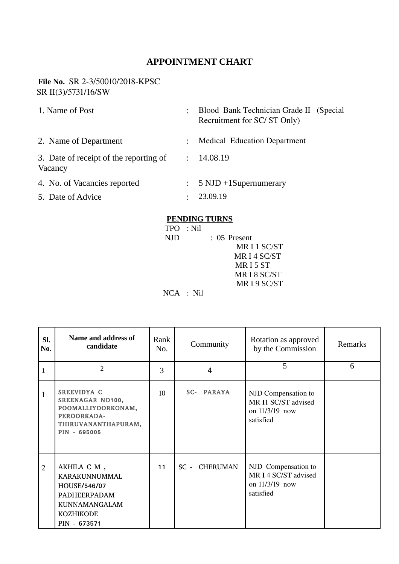## **APPOINTMENT CHART**

## **File No.** SR 2-3/50010/2018-KPSC SR II(3)/5731/16/SW

|               | Blood Bank Technician Grade II (Special<br>Recruitment for SC/ST Only) |
|---------------|------------------------------------------------------------------------|
|               | <b>Medical Education Department</b>                                    |
| $\mathcal{L}$ | 14.08.19                                                               |
|               | $5$ NJD $+1$ Supernumerary                                             |
| $\bullet$     | 23.09.19                                                               |
|               |                                                                        |

## **PENDING TURNS**

 TPO : Nil NJD : 05 Present MR I 1 SC/ST MR I 4 SC/ST MR I 5 ST MR I 8 SC/ST MR I 9 SC/ST

NCA : Nil

| SI.<br>No.     | Name and address of<br>candidate                                                                                         | Rank<br>No. | Community            | Rotation as approved<br>by the Commission                                  | Remarks |
|----------------|--------------------------------------------------------------------------------------------------------------------------|-------------|----------------------|----------------------------------------------------------------------------|---------|
| $\mathbf{1}$   | $\overline{2}$                                                                                                           | 3           | 4                    | 5                                                                          | 6       |
| $\mathbf{1}$   | SREEVIDYA C<br>SREENAGAR NO100,<br>POOMALLIYOORKONAM,<br>PEROORKADA-<br>THIRUVANANTHAPURAM,<br>PIN - 695005              | 10          | SC- PARAYA           | NJD Compensation to<br>MR I1 SC/ST advised<br>on 11/3/19 now<br>satisfied  |         |
| $\overline{2}$ | AKHILA C M,<br><b>KARAKUNNUMMAL</b><br>HOUSE/546/07<br>PADHEERPADAM<br>KUNNAMANGALAM<br><b>KOZHIKODE</b><br>PIN - 673571 | 11          | <b>SC - CHERUMAN</b> | NJD Compensation to<br>MR I 4 SC/ST advised<br>on 11/3/19 now<br>satisfied |         |